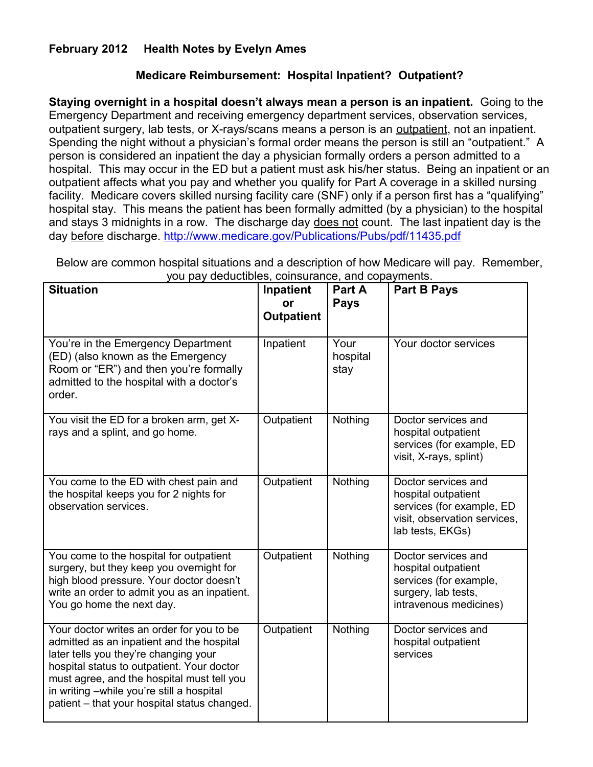## **February 2012 Health Notes by Evelyn Ames**

## **Medicare Reimbursement: Hospital Inpatient? Outpatient?**

**Staying overnight in a hospital doesn't always mean a person is an inpatient.** Going to the Emergency Department and receiving emergency department services, observation services, outpatient surgery, lab tests, or X-rays/scans means a person is an outpatient, not an inpatient. Spending the night without a physician's formal order means the person is still an "outpatient." A person is considered an inpatient the day a physician formally orders a person admitted to a hospital. This may occur in the ED but a patient must ask his/her status. Being an inpatient or an outpatient affects what you pay and whether you qualify for Part A coverage in a skilled nursing facility. Medicare covers skilled nursing facility care (SNF) only if a person first has a "qualifying" hospital stay. This means the patient has been formally admitted (by a physician) to the hospital and stays 3 midnights in a row. The discharge day does not count. The last inpatient day is the day before discharge.<http://www.medicare.gov/Publications/Pubs/pdf/11435.pdf>

| <b>Situation</b>                                                                                                                                                                                                                                                                                                         | Inpatient<br><b>or</b><br><b>Outpatient</b> | Part A<br><b>Pays</b>    | <b>Part B Pays</b>                                                                                                          |
|--------------------------------------------------------------------------------------------------------------------------------------------------------------------------------------------------------------------------------------------------------------------------------------------------------------------------|---------------------------------------------|--------------------------|-----------------------------------------------------------------------------------------------------------------------------|
| You're in the Emergency Department<br>(ED) (also known as the Emergency<br>Room or "ER") and then you're formally<br>admitted to the hospital with a doctor's<br>order.                                                                                                                                                  | Inpatient                                   | Your<br>hospital<br>stay | Your doctor services                                                                                                        |
| You visit the ED for a broken arm, get X-<br>rays and a splint, and go home.                                                                                                                                                                                                                                             | Outpatient                                  | Nothing                  | Doctor services and<br>hospital outpatient<br>services (for example, ED<br>visit, X-rays, splint)                           |
| You come to the ED with chest pain and<br>the hospital keeps you for 2 nights for<br>observation services.                                                                                                                                                                                                               | Outpatient                                  | Nothing                  | Doctor services and<br>hospital outpatient<br>services (for example, ED<br>visit, observation services,<br>lab tests, EKGs) |
| You come to the hospital for outpatient<br>surgery, but they keep you overnight for<br>high blood pressure. Your doctor doesn't<br>write an order to admit you as an inpatient.<br>You go home the next day.                                                                                                             | Outpatient                                  | Nothing                  | Doctor services and<br>hospital outpatient<br>services (for example,<br>surgery, lab tests,<br>intravenous medicines)       |
| Your doctor writes an order for you to be<br>admitted as an inpatient and the hospital<br>later tells you they're changing your<br>hospital status to outpatient. Your doctor<br>must agree, and the hospital must tell you<br>in writing -while you're still a hospital<br>patient - that your hospital status changed. | Outpatient                                  | Nothing                  | Doctor services and<br>hospital outpatient<br>services                                                                      |

Below are common hospital situations and a description of how Medicare will pay. Remember, you pay deductibles, coinsurance, and copayments.